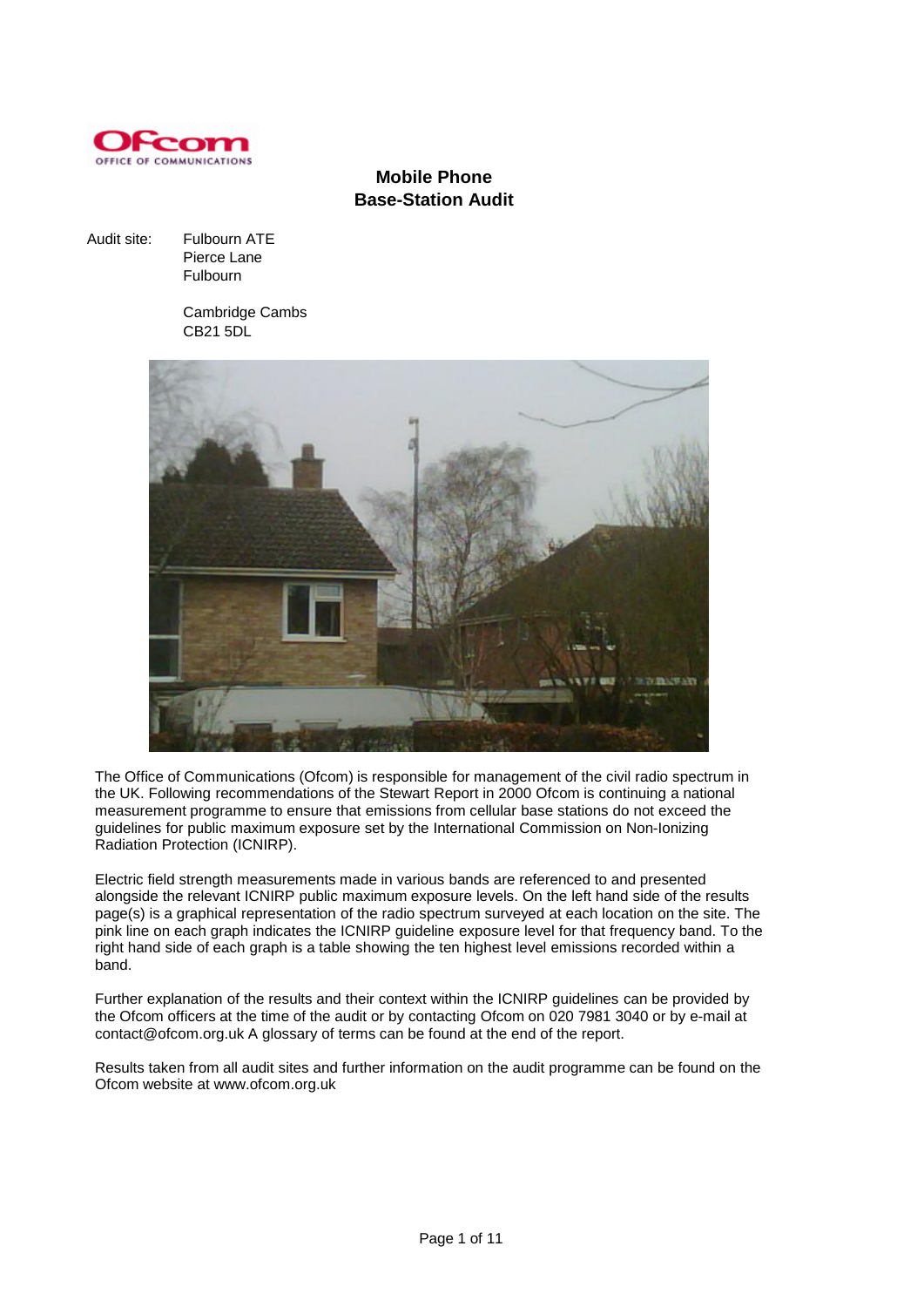

# **Mobile Phone Base-Station Audit**

Audit site: Fulbourn ATE Pierce Lane Fulbourn

> Cambridge Cambs CB21 5DL



The Office of Communications (Ofcom) is responsible for management of the civil radio spectrum in the UK. Following recommendations of the Stewart Report in 2000 Ofcom is continuing a national measurement programme to ensure that emissions from cellular base stations do not exceed the guidelines for public maximum exposure set by the International Commission on Non-Ionizing Radiation Protection (ICNIRP).

Electric field strength measurements made in various bands are referenced to and presented alongside the relevant ICNIRP public maximum exposure levels. On the left hand side of the results page(s) is a graphical representation of the radio spectrum surveyed at each location on the site. The pink line on each graph indicates the ICNIRP guideline exposure level for that frequency band. To the right hand side of each graph is a table showing the ten highest level emissions recorded within a band.

Further explanation of the results and their context within the ICNIRP guidelines can be provided by the Ofcom officers at the time of the audit or by contacting Ofcom on 020 7981 3040 or by e-mail at contact@ofcom.org.uk A glossary of terms can be found at the end of the report.

Results taken from all audit sites and further information on the audit programme can be found on the Ofcom website at www.ofcom.org.uk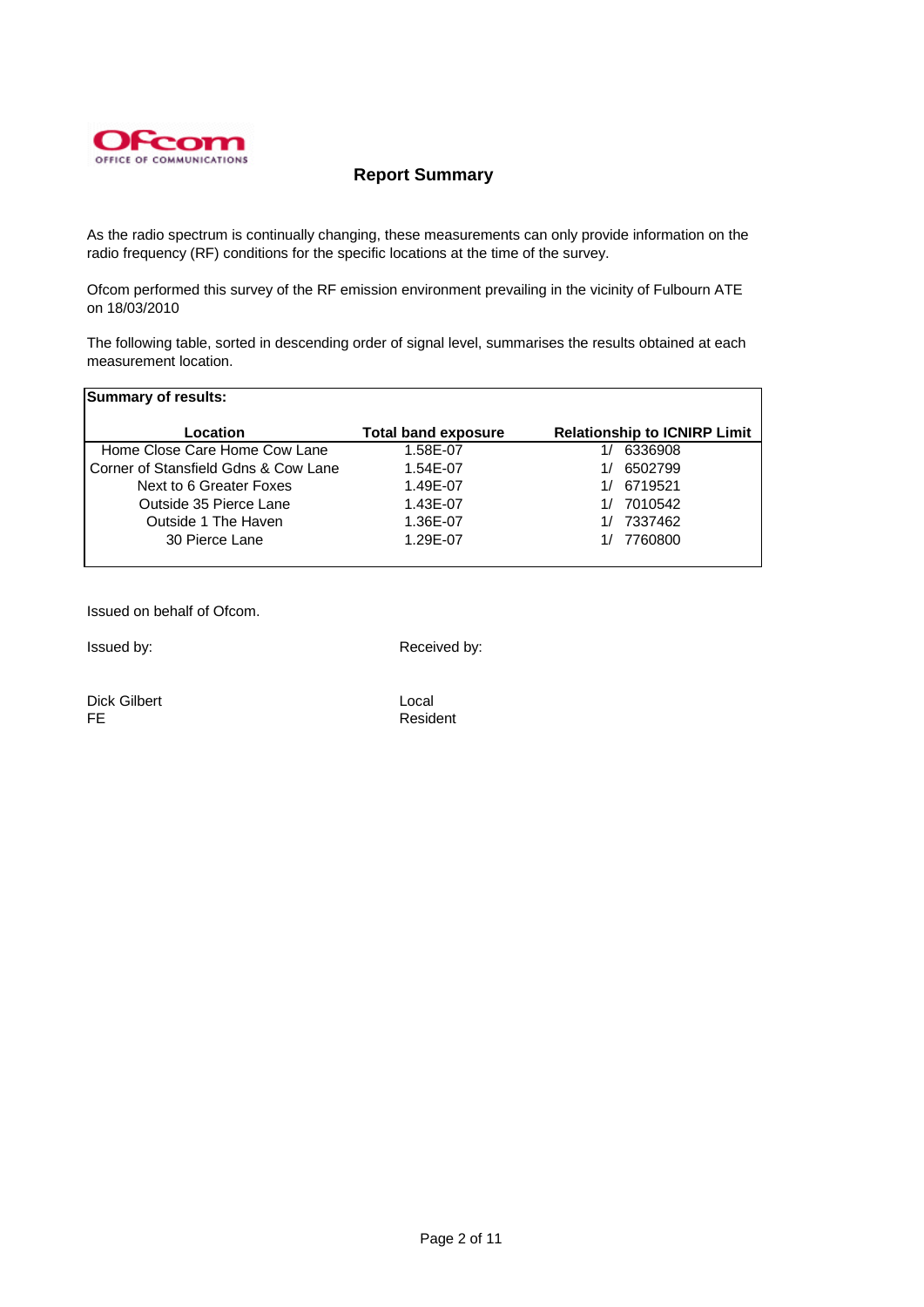

## **Report Summary**

As the radio spectrum is continually changing, these measurements can only provide information on the radio frequency (RF) conditions for the specific locations at the time of the survey.

Ofcom performed this survey of the RF emission environment prevailing in the vicinity of Fulbourn ATE on 18/03/2010

The following table, sorted in descending order of signal level, summarises the results obtained at each measurement location.

| <b>Summary of results:</b>           |                            |                                     |
|--------------------------------------|----------------------------|-------------------------------------|
| Location                             | <b>Total band exposure</b> | <b>Relationship to ICNIRP Limit</b> |
| Home Close Care Home Cow Lane        | 1.58E-07                   | 6336908                             |
| Corner of Stansfield Gdns & Cow Lane | 1.54E-07                   | 6502799                             |
| Next to 6 Greater Foxes              | 1.49E-07                   | 6719521                             |
| Outside 35 Pierce Lane               | 1.43E-07                   | 7010542                             |
| Outside 1 The Haven                  | 1.36E-07                   | 7337462                             |
| 30 Pierce Lane                       | 1.29E-07                   | 7760800                             |

Issued on behalf of Ofcom.

Issued by:  $\blacksquare$  Received by:

Dick Gilbert Local FE Resident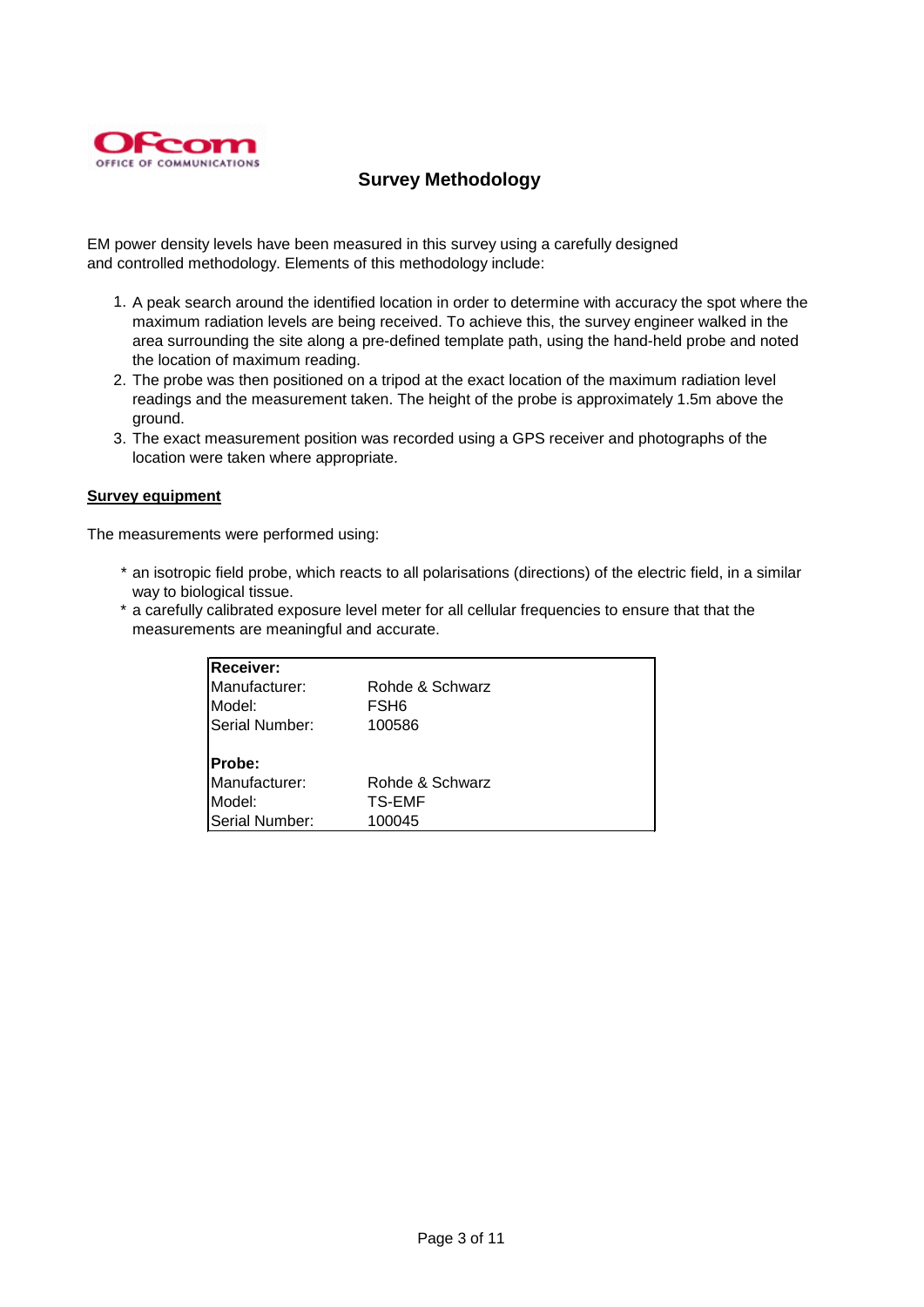

# **Survey Methodology**

EM power density levels have been measured in this survey using a carefully designed and controlled methodology. Elements of this methodology include:

- 1. A peak search around the identified location in order to determine with accuracy the spot where the maximum radiation levels are being received. To achieve this, the survey engineer walked in the area surrounding the site along a pre-defined template path, using the hand-held probe and noted the location of maximum reading.
- 2. The probe was then positioned on a tripod at the exact location of the maximum radiation level readings and the measurement taken. The height of the probe is approximately 1.5m above the ground.
- 3. The exact measurement position was recorded using a GPS receiver and photographs of the location were taken where appropriate.

### **Survey equipment**

The measurements were performed using:

- \* an isotropic field probe, which reacts to all polarisations (directions) of the electric field, in a similar way to biological tissue.
- \* a carefully calibrated exposure level meter for all cellular frequencies to ensure that that the measurements are meaningful and accurate.

| <b>Receiver:</b> |                 |  |
|------------------|-----------------|--|
| Manufacturer:    | Rohde & Schwarz |  |
| Model:           | FSH6            |  |
| Serial Number:   | 100586          |  |
| Probe:           |                 |  |
| Manufacturer:    | Rohde & Schwarz |  |
| Model:           | TS-EMF          |  |
| Serial Number:   | 100045          |  |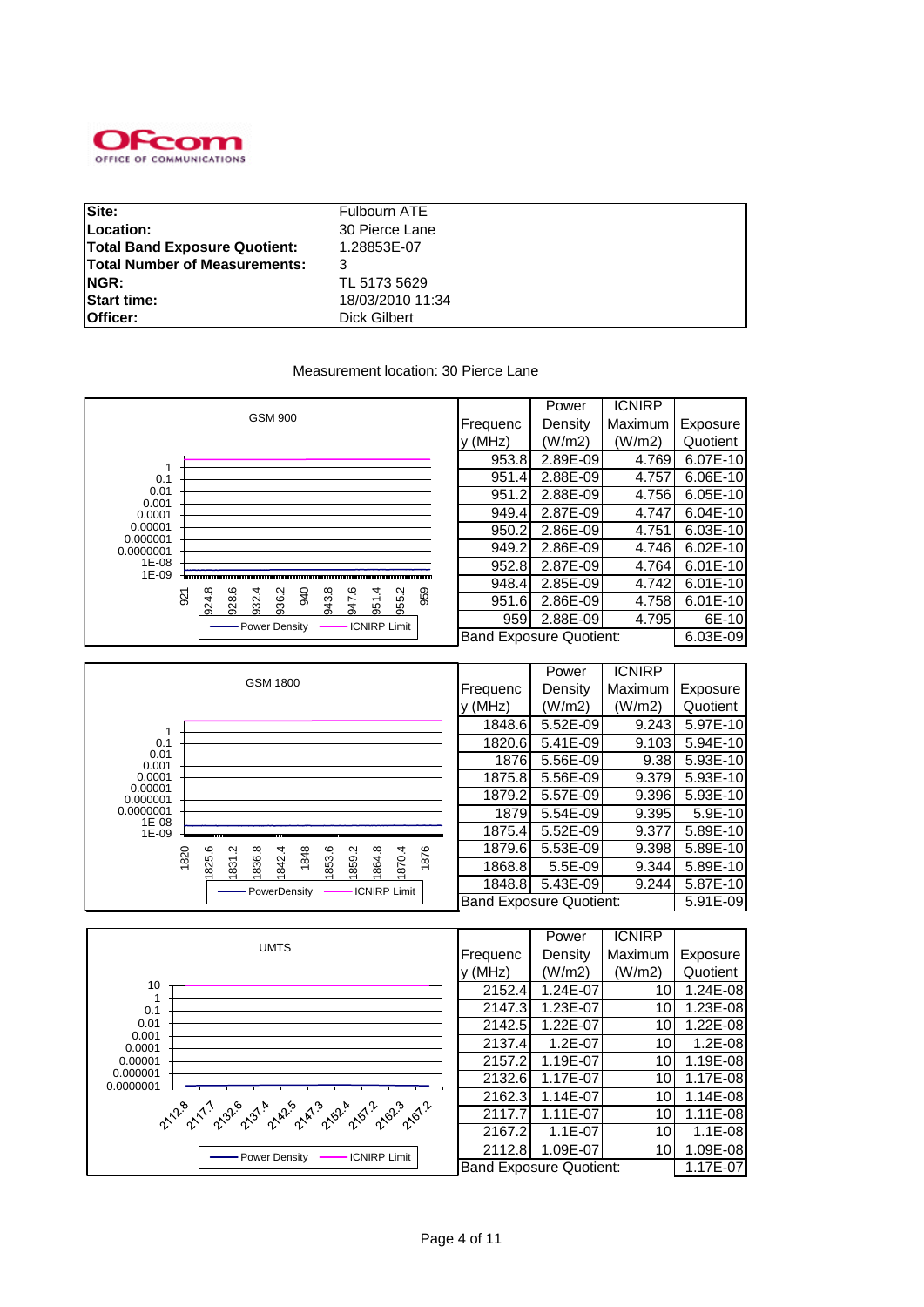

| Site:                                | Fulbourn ATE     |
|--------------------------------------|------------------|
|                                      |                  |
| Location:                            | 30 Pierce Lane   |
| <b>Total Band Exposure Quotient:</b> | 1.28853E-07      |
| <b>Total Number of Measurements:</b> |                  |
| NGR:                                 | TL 5173 5629     |
| <b>Start time:</b>                   | 18/03/2010 11:34 |
| Officer:                             | Dick Gilbert     |

#### Measurement location: 30 Pierce Lane



|                     |                                                                         |                                | LOMAI     | <b>IVININE</b> |          |
|---------------------|-------------------------------------------------------------------------|--------------------------------|-----------|----------------|----------|
|                     | <b>GSM 1800</b>                                                         | Frequenc                       | Density   | Maximum        | Exposure |
|                     |                                                                         | y (MHz)                        | (W/m2)    | (W/m2)         | Quotient |
|                     |                                                                         | 1848.6                         | 5.52E-09  | 9.243          | 5.97E-10 |
| 0.1                 |                                                                         | 1820.6                         | 5.41E-09  | 9.103          | 5.94E-10 |
| 0.01<br>0.001       |                                                                         | 1876                           | 5.56E-09  | 9.38           | 5.93E-10 |
| 0.0001              |                                                                         | 1875.8                         | 5.56E-09  | 9.379          | 5.93E-10 |
| 0.00001<br>0.000001 |                                                                         | 1879.2                         | 5.57E-09  | 9.396          | 5.93E-10 |
| 0.0000001<br>1E-08  |                                                                         | 1879                           | 5.54E-09  | 9.395          | 5.9E-10  |
| 1E-09               |                                                                         | 1875.4                         | 5.52E-09  | 9.377          | 5.89E-10 |
|                     | 1876<br>1820<br>Ņ<br>1848                                               | 1879.6                         | 5.53E-09  | 9.398          | 5.89E-10 |
|                     | 825.6<br>1870.4<br>836.8<br>1842.4<br>1853.6<br>1859.2<br>1864.8<br>831 | 1868.8                         | $5.5E-09$ | 9.344          | 5.89E-10 |
|                     | <b>ICNIRP Limit</b><br>PowerDensity                                     | 1848.8                         | 5.43E-09  | 9.244          | 5.87E-10 |
|                     |                                                                         | <b>Band Exposure Quotient:</b> |           |                | 5.91E-09 |

|                                                                                                                                                                                   |          | Power                          | <b>ICNIRP</b>   |           |
|-----------------------------------------------------------------------------------------------------------------------------------------------------------------------------------|----------|--------------------------------|-----------------|-----------|
| <b>UMTS</b>                                                                                                                                                                       | Frequenc | Density                        | Maximum         | Exposure  |
|                                                                                                                                                                                   | V(MHz)   | (W/m2)                         | (W/m2)          | Quotient  |
| 10                                                                                                                                                                                | 2152.4   | 1.24E-07                       | 101             | 1.24E-08  |
| 0.1                                                                                                                                                                               | 2147.3   | 1.23E-07                       | 10              | 1.23E-08  |
| 0.01                                                                                                                                                                              | 2142.5   | 1.22E-07                       | 10              | 1.22E-08  |
| 0.001<br>0.0001                                                                                                                                                                   | 2137.4   | 1.2E-07                        | 10 <sub>l</sub> | $1.2E-08$ |
| 0.00001                                                                                                                                                                           | 2157.2   | 1.19E-07                       | 10              | 1.19E-08  |
| 0.000001<br>0.0000001<br>2.12° 2.11° 2.92° 2.91° 2.14° 2.14° 2.14° 2.14° 2.14° 2.14° 2.14° 2.14° 2.14° 2.14° 2.14° 2.14° 2.14° 2.14° 2.<br><b>ICNIRP Limit</b><br>- Power Density | 2132.6   | 1.17E-07                       | 10              | 1.17E-08  |
|                                                                                                                                                                                   | 2162.3   | 1.14E-07                       | 10              | 1.14E-08  |
|                                                                                                                                                                                   | 2117.7   | 1.11E-07                       | 10              | 1.11E-08  |
|                                                                                                                                                                                   | 2167.2   | $1.1E-07$                      | 10              | $1.1E-08$ |
|                                                                                                                                                                                   | 2112.8   | 1.09E-07                       | 10 <sub>l</sub> | 1.09E-08  |
|                                                                                                                                                                                   |          | <b>Band Exposure Quotient:</b> |                 | 1.17E-07  |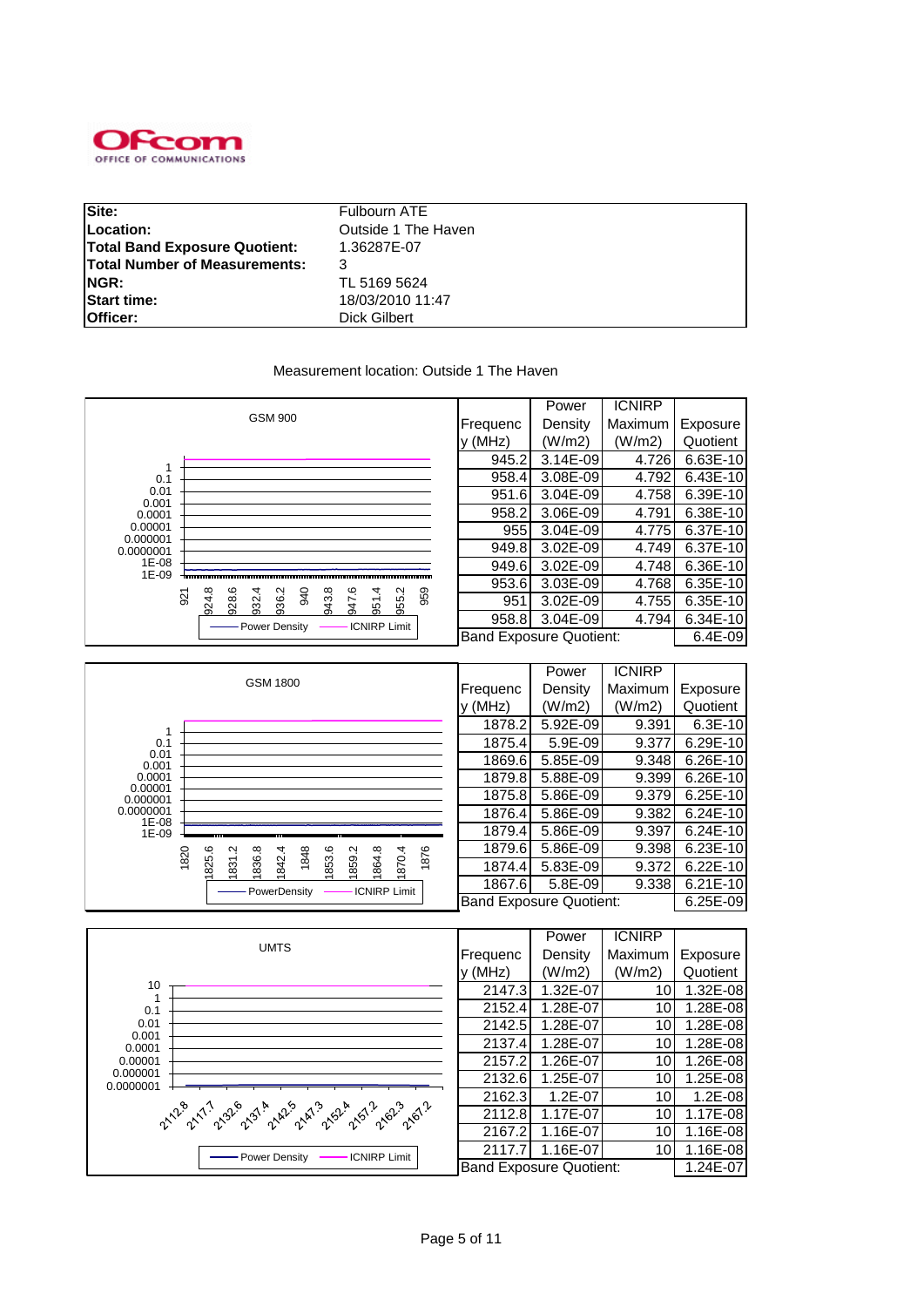

| Site:                                | Fulbourn ATE        |
|--------------------------------------|---------------------|
| Location:                            | Outside 1 The Haven |
| <b>Total Band Exposure Quotient:</b> | 1.36287E-07         |
| <b>Total Number of Measurements:</b> |                     |
| NGR:                                 | TL 5169 5624        |
| <b>Start time:</b>                   | 18/03/2010 11:47    |
| Officer:                             | Dick Gilbert        |

### Measurement location: Outside 1 The Haven

|                     |                                                                                           |                                | Power        | <b>ICNIRP</b> |          |
|---------------------|-------------------------------------------------------------------------------------------|--------------------------------|--------------|---------------|----------|
|                     | <b>GSM 900</b>                                                                            | Frequenc                       | Density      | Maximum       | Exposure |
|                     |                                                                                           | y (MHz)                        | (W/m2)       | (W/m2)        | Quotient |
|                     |                                                                                           | 945.2                          | $3.14E - 09$ | 4.726         | 6.63E-10 |
| 0.1                 |                                                                                           | 958.4                          | 3.08E-09     | 4.792         | 6.43E-10 |
| 0.01<br>0.001       |                                                                                           | 951.6                          | $3.04E - 09$ | 4.758         | 6.39E-10 |
| 0.0001              |                                                                                           | 958.2                          | 3.06E-09     | 4.791         | 6.38E-10 |
| 0.00001<br>0.000001 |                                                                                           | 955                            | $3.04E - 09$ | 4.775         | 6.37E-10 |
| 0.0000001           |                                                                                           | 949.8                          | 3.02E-09     | 4.749         | 6.37E-10 |
| 1E-08<br>$1E-09$    |                                                                                           | 949.6                          | 3.02E-09     | 4.748         | 6.36E-10 |
|                     |                                                                                           | 953.6                          | 3.03E-09     | 4.768         | 6.35E-10 |
|                     | 940<br>943.8<br>959<br>936.2<br>947.6<br>955.2<br>924.8<br>928.6<br>951.4<br>932.4<br>921 | 951                            | 3.02E-09     | 4.755         | 6.35E-10 |
|                     | Power Density<br><b>ICNIRP Limit</b>                                                      | 958.8                          | 3.04E-09     | 4.794         | 6.34E-10 |
|                     |                                                                                           | <b>Band Exposure Quotient:</b> |              |               | 6.4E-09  |
|                     |                                                                                           |                                |              |               |          |
|                     |                                                                                           |                                |              |               |          |

|                     |                                                                              |          | Power                          | <b>ICNIRP</b> |              |
|---------------------|------------------------------------------------------------------------------|----------|--------------------------------|---------------|--------------|
|                     | <b>GSM 1800</b>                                                              | Frequenc | Density                        | Maximum       | Exposure     |
|                     |                                                                              | V(MHz)   | (W/m2)                         | (W/m2)        | Quotient     |
|                     |                                                                              | 1878.2   | 5.92E-09                       | 9.391         | $6.3E-10$    |
| 0.1                 |                                                                              | 1875.4   | 5.9E-09                        | 9.377         | 6.29E-10     |
| 0.01<br>0.001       |                                                                              | 1869.6   | 5.85E-09                       | 9.348         | 6.26E-10     |
| 0.0001              |                                                                              | 1879.8   | 5.88E-09                       | 9.399         | 6.26E-10     |
| 0.00001<br>0.000001 |                                                                              | 1875.8   | 5.86E-09                       | 9.379         | $6.25E-10$   |
| 0.0000001<br>1E-08  |                                                                              | 1876.4   | 5.86E-09                       | 9.382         | $6.24E-10$   |
| 1E-09               |                                                                              | 1879.4   | 5.86E-09                       | 9.397         | $6.24E-10$   |
|                     | 1876<br>1820<br>Ņ                                                            | 1879.6   | 5.86E-09                       | 9.398         | $6.23E-10$   |
|                     | 825.6<br>842.4<br>836.8<br>1848<br>853.6<br>1859.2<br>1870.4<br>864.8<br>831 | 1874.4   | 5.83E-09                       | 9.372         | $6.22E - 10$ |
|                     | <b>ICNIRP Limit</b><br>PowerDensity                                          | 1867.6   | 5.8E-09                        | 9.338         | $6.21E-10$   |
|                     |                                                                              |          | <b>Band Exposure Quotient:</b> |               | 6.25E-09     |

|                                                                                                                                       |                                | Power    | <b>ICNIRP</b> |             |
|---------------------------------------------------------------------------------------------------------------------------------------|--------------------------------|----------|---------------|-------------|
| <b>UMTS</b>                                                                                                                           | Frequenc                       | Density  | Maximum       | Exposure    |
|                                                                                                                                       | y (MHz)                        | (W/m2)   | (W/m2)        | Quotient    |
| 10                                                                                                                                    | 2147.3                         | 1.32E-07 | 10            | 1.32E-08    |
| 0.1                                                                                                                                   | 2152.4                         | 1.28E-07 | 10            | 1.28E-08    |
| 0.01                                                                                                                                  | 2142.5                         | 1.28E-07 | 10            | 1.28E-08    |
| 0.001<br>0.0001                                                                                                                       | 2137.4                         | 1.28E-07 | 10            | 1.28E-08    |
| 0.00001                                                                                                                               | 2157.2                         | 1.26E-07 | 10            | 1.26E-08    |
| 0.000001<br>0.0000001<br>2.12° 2.11° 2.92° 2.91° 2.14° 3.15° 3.15° 3.15° 3.16° 3.16° 3.16° 4.<br><b>ICNIRP Limit</b><br>Power Density | 2132.6                         | 1.25E-07 | 10            | 1.25E-08    |
|                                                                                                                                       | 2162.3                         | 1.2E-07  | 10            | $1.2E - 08$ |
|                                                                                                                                       | 2112.8                         | 1.17E-07 | 10            | 1.17E-08    |
|                                                                                                                                       | 2167.2                         | 1.16E-07 | 10            | 1.16E-08    |
|                                                                                                                                       | 2117.7                         | 1.16E-07 | 10            | 1.16E-08    |
|                                                                                                                                       | <b>Band Exposure Quotient:</b> |          |               | 1.24E-07    |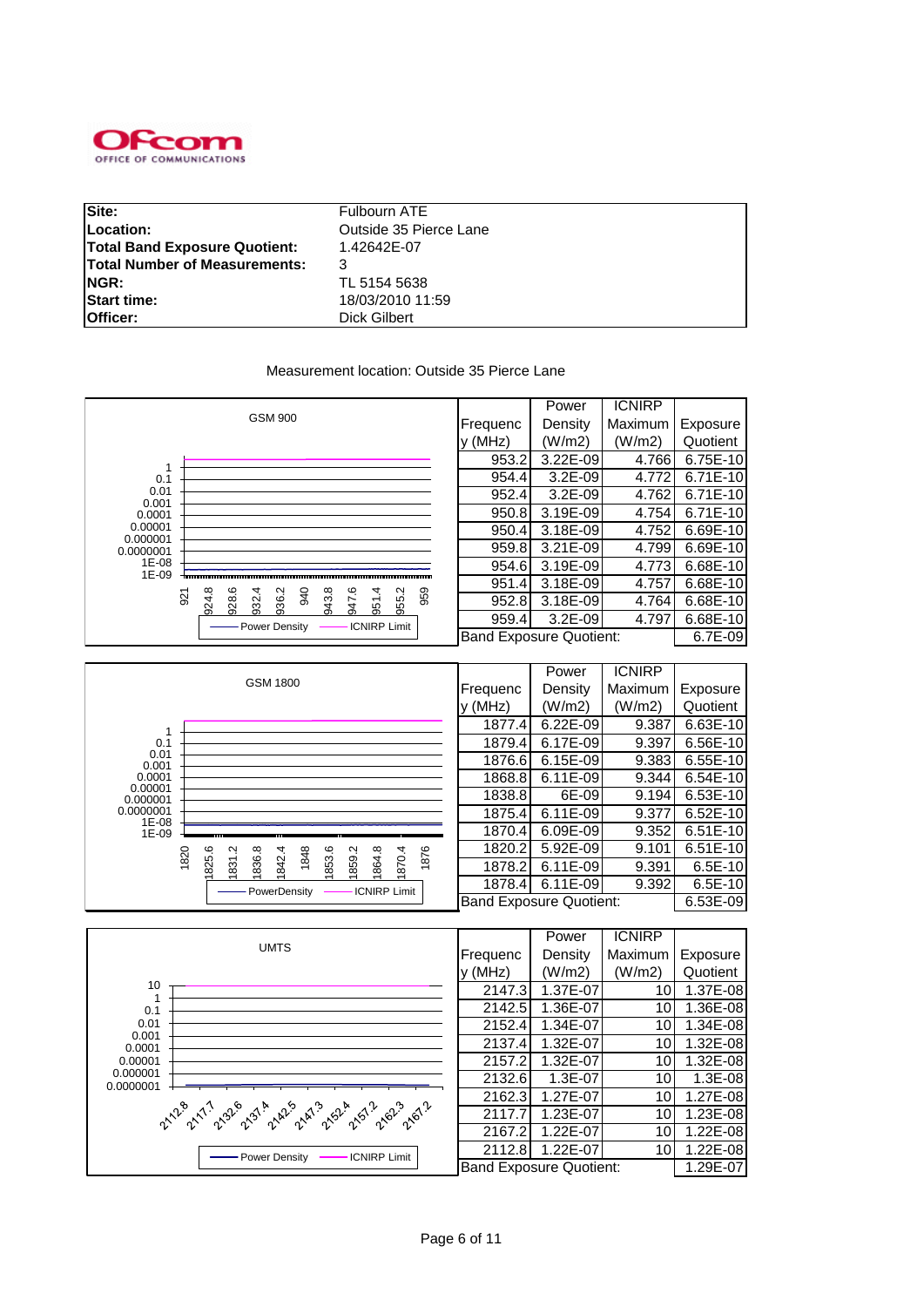

| Site:                                | Fulbourn ATE           |
|--------------------------------------|------------------------|
| Location:                            | Outside 35 Pierce Lane |
| <b>Total Band Exposure Quotient:</b> | 1.42642E-07            |
| <b>Total Number of Measurements:</b> |                        |
| NGR:                                 | TL 5154 5638           |
| <b>Start time:</b>                   | 18/03/2010 11:59       |
| Officer:                             | Dick Gilbert           |

#### Measurement location: Outside 35 Pierce Lane



|                     |                                                                           |          | Power                   | <b>ICNIRP</b> |            |
|---------------------|---------------------------------------------------------------------------|----------|-------------------------|---------------|------------|
|                     | GSM 1800                                                                  | Frequenc | Density                 | Maximum       | Exposure   |
|                     |                                                                           | y (MHz)  | (W/m2)                  | (W/m2)        | Quotient   |
|                     |                                                                           | 1877.4   | 6.22E-09                | 9.387         | 6.63E-10   |
| 0.1                 |                                                                           | 1879.4   | 6.17E-09                | 9.397         | 6.56E-10   |
| 0.01<br>0.001       |                                                                           | 1876.6   | 6.15E-09                | 9.383         | 6.55E-10   |
| 0.0001              |                                                                           | 1868.8   | 6.11E-09                | 9.344         | 6.54E-10   |
| 0.00001<br>0.000001 |                                                                           | 1838.8   | 6E-09                   | 9.194         | 6.53E-10   |
| 0.0000001<br>1E-08  |                                                                           | 1875.4   | 6.11E-09                | 9.377         | 6.52E-10   |
| 1E-09               |                                                                           | 1870.4   | 6.09E-09                | 9.352         | $6.51E-10$ |
|                     | 1876<br>1820<br>Ņ<br>1848                                                 | 1820.2   | 5.92E-09                | 9.101         | 6.51E-10   |
|                     | 825.6<br>1836.8<br>1853.6<br>1859.2<br>1870.4<br>1842.4<br>1864.8<br>1831 | 1878.2   | 6.11E-09                | 9.391         | 6.5E-10    |
|                     | <b>ICNIRP Limit</b><br>- PowerDensity                                     | 1878.4   | 6.11E-09                | 9.392         | 6.5E-10    |
|                     |                                                                           |          | Band Exposure Quotient: |               | 6.53E-09   |

|                                                                                                                                                   |                                | Power    | <b>ICNIRP</b> |              |
|---------------------------------------------------------------------------------------------------------------------------------------------------|--------------------------------|----------|---------------|--------------|
| <b>UMTS</b>                                                                                                                                       | Frequenc                       | Density  | Maximum       | Exposure     |
|                                                                                                                                                   | y (MHz)                        | (W/m2)   | (W/m2)        | Quotient     |
| 10                                                                                                                                                | 2147.3                         | 1.37E-07 | 10            | 1.37E-08     |
| 0.1                                                                                                                                               | 2142.5                         | 1.36E-07 | 10            | 1.36E-08     |
| 0.01                                                                                                                                              | 2152.4                         | 1.34E-07 | 10            | 1.34E-08     |
| 0.001<br>0.0001<br>0.00001<br>0.000001<br>0.0000001<br>21.28 21.1 230 231 242 243 259 259 269 269 261 2<br><b>ICNIRP Limit</b><br>- Power Density | 2137.4                         | 1.32E-07 | 10            | 1.32E-08     |
|                                                                                                                                                   | 2157.2                         | 1.32E-07 | 10            | 1.32E-08     |
|                                                                                                                                                   | 2132.6                         | 1.3E-07  | 10            | 1.3E-08      |
|                                                                                                                                                   | 2162.3                         | 1.27E-07 | 10            | 1.27E-08     |
|                                                                                                                                                   | 2117.7                         | 1.23E-07 | 10            | 1.23E-08     |
|                                                                                                                                                   | 2167.2                         | 1.22E-07 | 10            | 1.22E-08     |
|                                                                                                                                                   | 2112.8                         | 1.22E-07 | 10            | $1.22E - 08$ |
|                                                                                                                                                   | <b>Band Exposure Quotient:</b> |          |               | 1.29E-07     |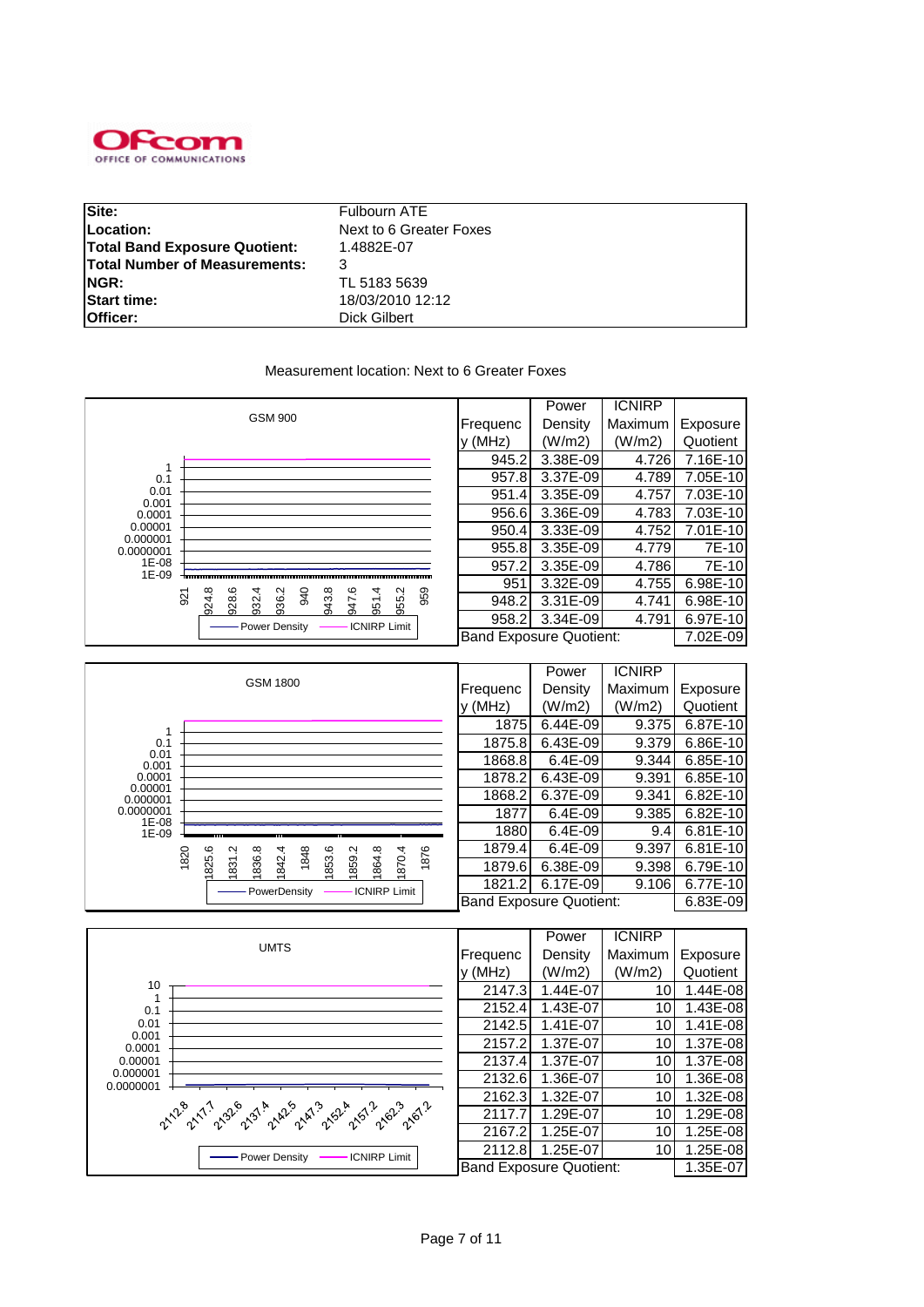

| Site:                                | Fulbourn ATE            |
|--------------------------------------|-------------------------|
| Location:                            | Next to 6 Greater Foxes |
| <b>Total Band Exposure Quotient:</b> | 1.4882E-07              |
| <b>Total Number of Measurements:</b> |                         |
| NGR:                                 | TL 5183 5639            |
| <b>Start time:</b>                   | 18/03/2010 12:12        |
| Officer:                             | Dick Gilbert            |

#### Measurement location: Next to 6 Greater Foxes

|                     |                                                                                |                                | Power    | <b>ICNIRP</b> |          |
|---------------------|--------------------------------------------------------------------------------|--------------------------------|----------|---------------|----------|
|                     | <b>GSM 900</b>                                                                 | Frequenc                       | Density  | Maximum       | Exposure |
|                     |                                                                                | $y$ (MHz)                      | (W/m2)   | (W/m2)        | Quotient |
|                     |                                                                                | 945.2                          | 3.38E-09 | 4.726         | 7.16E-10 |
| 0.1                 |                                                                                | 957.8                          | 3.37E-09 | 4.789         | 7.05E-10 |
| 0.01<br>0.001       |                                                                                | 951.4                          | 3.35E-09 | 4.757         | 7.03E-10 |
| 0.0001              |                                                                                | 956.6                          | 3.36E-09 | 4.783         | 7.03E-10 |
| 0.00001<br>0.000001 |                                                                                | 950.4                          | 3.33E-09 | 4.752         | 7.01E-10 |
| 0.0000001           |                                                                                | 955.8                          | 3.35E-09 | 4.779         | 7E-10    |
| 1E-08<br>1E-09      |                                                                                | 957.2                          | 3.35E-09 | 4.786         | 7E-10    |
|                     | ဖ<br>4.                                                                        | 951                            | 3.32E-09 | 4.755         | 6.98E-10 |
| 921                 | 940<br>943.8<br>959<br>928.6<br>936.2<br>955.2<br>924.8<br>932.4<br>951<br>547 | 948.2                          | 3.31E-09 | 4.741         | 6.98E-10 |
|                     | <b>ICNIRP Limit</b><br>Power Density                                           | 958.2                          | 3.34E-09 | 4.791         | 6.97E-10 |
|                     |                                                                                | <b>Band Exposure Quotient:</b> |          |               | 7.02E-09 |

|                     |                                                                            |           | Power                          | <b>ICNIRP</b> |            |
|---------------------|----------------------------------------------------------------------------|-----------|--------------------------------|---------------|------------|
|                     | GSM 1800                                                                   | Frequenc  | Density                        | Maximum       | Exposure   |
|                     |                                                                            | $y$ (MHz) | (W/m2)                         | (W/m2)        | Quotient   |
|                     |                                                                            | 1875      | 6.44E-09                       | 9.375         | 6.87E-10   |
| 0.1                 |                                                                            | 1875.8    | 6.43E-09                       | 9.379         | 6.86E-10   |
| 0.01<br>0.001       |                                                                            | 1868.8    | $6.4E-09$                      | 9.344         | $6.85E-10$ |
| 0.0001              |                                                                            | 1878.2    | 6.43E-09                       | 9.391         | 6.85E-10   |
| 0.00001<br>0.000001 |                                                                            | 1868.2    | 6.37E-09                       | 9.341         | $6.82E-10$ |
| 0.0000001<br>1E-08  |                                                                            | 1877      | $6.4E-09$                      | 9.385         | $6.82E-10$ |
| 1E-09               |                                                                            | 1880      | 6.4E-09                        | 9.4           | $6.81E-10$ |
|                     | 1876<br>1820<br>Ņ<br>1848                                                  | 1879.4    | 6.4E-09                        | 9.397         | $6.81E-10$ |
|                     | 825.6<br>1836.8<br>1853.6<br>1859.2<br>1842.4<br>1864.8<br>1870.4<br>1831. | 1879.6    | 6.38E-09                       | 9.398         | 6.79E-10   |
|                     | - PowerDensity<br><b>ICNIRP Limit</b>                                      | 1821.2    | 6.17E-09                       | 9.106         | 6.77E-10   |
|                     |                                                                            |           | <b>Band Exposure Quotient:</b> |               | 6.83E-09   |

|                                                     |          | Power                          | <b>ICNIRP</b>   |          |
|-----------------------------------------------------|----------|--------------------------------|-----------------|----------|
| <b>UMTS</b>                                         | Frequenc | Density                        | Maximum         | Exposure |
|                                                     | y (MHz)  | (W/m2)                         | (W/m2)          | Quotient |
| 10                                                  | 2147.3   | 1.44E-07                       | 101             | 1.44E-08 |
| 0.1                                                 | 2152.4   | 1.43E-07                       | 10              | 1.43E-08 |
| 0.01                                                | 2142.5   | 1.41E-07                       | 10              | 1.41E-08 |
| 0.001<br>0.0001                                     | 2157.2   | 1.37E-07                       | 10 <sup>1</sup> | 1.37E-08 |
| 0.00001                                             | 2137.4   | 1.37E-07                       | 10              | 1.37E-08 |
| 0.000001<br>0.0000001                               | 2132.6   | 1.36E-07                       | 10              | 1.36E-08 |
|                                                     | 2162.3   | 1.32E-07                       | 10 <sub>l</sub> | 1.32E-08 |
| 21.2° 21.1° 23° 23' 24' 24' 24' 26' 26' 26' 26' 26' | 2117.7   | 1.29E-07                       | 10              | 1.29E-08 |
|                                                     | 2167.2   | 1.25E-07                       | 10              | 1.25E-08 |
| <b>ICNIRP Limit</b><br>- Power Density              | 2112.8   | 1.25E-07                       | 10              | 1.25E-08 |
|                                                     |          | <b>Band Exposure Quotient:</b> |                 | 1.35E-07 |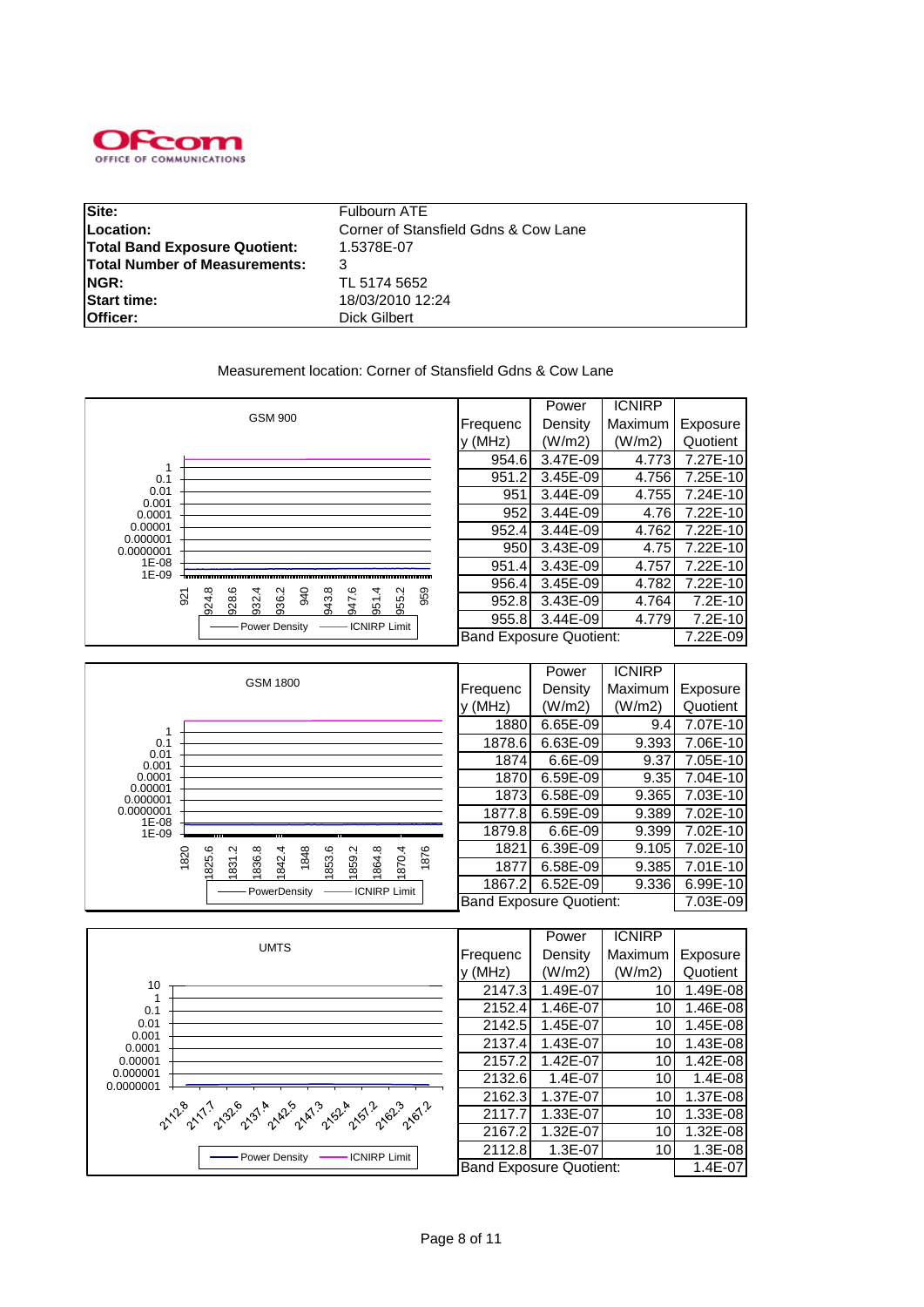

| Site:                                | Fulbourn ATE                         |
|--------------------------------------|--------------------------------------|
| Location:                            | Corner of Stansfield Gdns & Cow Lane |
| <b>Total Band Exposure Quotient:</b> | 1.5378E-07                           |
| <b>Total Number of Measurements:</b> |                                      |
| <b>INGR:</b>                         | TL 5174 5652                         |
| <b>Start time:</b>                   | 18/03/2010 12:24                     |
| Officer:                             | Dick Gilbert                         |

Measurement location: Corner of Stansfield Gdns & Cow Lane

|                     |                                                                                       |          | Power                          | <b>ICNIRP</b> |           |
|---------------------|---------------------------------------------------------------------------------------|----------|--------------------------------|---------------|-----------|
|                     | <b>GSM 900</b>                                                                        | Frequenc | Density                        | Maximum       | Exposure  |
|                     |                                                                                       | v (MHz)  | (W/m2)                         | (W/m2)        | Quotient  |
|                     |                                                                                       | 954.6    | 3.47E-09                       | 4.773         | 7.27E-10  |
| 0.1                 |                                                                                       | 951.2    | 3.45E-09                       | 4.756         | 7.25E-10  |
| 0.01<br>0.001       |                                                                                       | 951      | 3.44E-09                       | 4.755         | 7.24E-10  |
| 0.0001              |                                                                                       | 952      | 3.44E-09                       | 4.76          | 7.22E-10  |
| 0.00001<br>0.000001 |                                                                                       | 952.4    | 3.44E-09                       | 4.762         | 7.22E-10  |
| 0.0000001           |                                                                                       | 950      | 3.43E-09                       | 4.75          | 7.22E-10  |
| 1E-08               |                                                                                       | 951.4    | 3.43E-09                       | 4.757         | 7.22E-10  |
| 1E-09               | ِهِ<br>4                                                                              | 956.4    | 3.45E-09                       | 4.782         | 7.22E-10  |
|                     | 924.8<br>959<br>928.6<br>936.2<br>940<br>943.8<br>955.2<br>932.4<br>921<br>547<br>951 | 952.8    | 3.43E-09                       | 4.764         | $7.2E-10$ |
|                     | <b>ICNIRP Limit</b><br>Power Density                                                  | 955.8    | 3.44E-09                       | 4.779         | $7.2E-10$ |
|                     |                                                                                       |          | <b>Band Exposure Quotient:</b> |               | 7.22E-09  |

|                     |                                                                            |                                | Power    | <b>ICNIRP</b> |          |
|---------------------|----------------------------------------------------------------------------|--------------------------------|----------|---------------|----------|
|                     | <b>GSM 1800</b>                                                            | Frequenc                       | Density  | Maximum       | Exposure |
|                     |                                                                            | (MHz)                          | (W/m2)   | (W/m2)        | Quotient |
|                     |                                                                            | 1880                           | 6.65E-09 | 9.4           | 7.07E-10 |
| 0.1                 |                                                                            | 1878.6                         | 6.63E-09 | 9.393         | 7.06E-10 |
| 0.01<br>0.001       |                                                                            | 1874                           | 6.6E-09  | 9.37          | 7.05E-10 |
| 0.0001              |                                                                            | 1870                           | 6.59E-09 | 9.35          | 7.04E-10 |
| 0.00001<br>0.000001 |                                                                            | 1873                           | 6.58E-09 | 9.365         | 7.03E-10 |
| 0.0000001<br>1E-08  |                                                                            | 1877.8                         | 6.59E-09 | 9.389         | 7.02E-10 |
| 1E-09               |                                                                            | 1879.8                         | 6.6E-09  | 9.399         | 7.02E-10 |
|                     | 1876<br>1820<br>Ņ<br>1848                                                  | 1821                           | 6.39E-09 | 9.105         | 7.02E-10 |
|                     | 825.6<br>1836.8<br>1853.6<br>1859.2<br>1864.8<br>1870.4<br>1842.4<br>1831. | 1877                           | 6.58E-09 | 9.385         | 7.01E-10 |
|                     | <b>ICNIRP Limit</b><br>- PowerDensity                                      | 1867.2                         | 6.52E-09 | 9.336         | 6.99E-10 |
|                     |                                                                            | <b>Band Exposure Quotient:</b> |          |               | 7.03E-09 |

|                                               |                                | Power       | <b>ICNIRP</b> |           |
|-----------------------------------------------|--------------------------------|-------------|---------------|-----------|
| <b>UMTS</b>                                   | Frequenc                       | Density     | Maximum       | Exposure  |
|                                               | y (MHz)                        | (W/m2)      | (W/m2)        | Quotient  |
| 10                                            | 2147.3                         | 1.49E-07    | 10            | 1.49E-08  |
| 0.1                                           | 2152.4                         | 1.46E-07    | 10            | 1.46E-08  |
| 0.01<br>0.001                                 | 2142.5                         | 1.45E-07    | 10            | 1.45E-08  |
| 0.0001                                        | 2137.4                         | 1.43E-07    | 10            | 1.43E-08  |
| 0.00001                                       | 2157.2                         | 1.42E-07    | 10            | 1.42E-08  |
| 0.000001<br>0.0000001                         | 2132.6                         | $1.4E - 07$ | 10            | 1.4E-08   |
|                                               | 2162.3                         | 1.37E-07    | 10            | 1.37E-08  |
| 21.28 21.1 230 231 242 243 252 3.51 262 261 2 | 2117.7                         | 1.33E-07    | 10            | 1.33E-08  |
|                                               | 2167.2                         | 1.32E-07    | 10            | 1.32E-08  |
| <b>ICNIRP Limit</b><br>- Power Density        | 2112.8                         | 1.3E-07     | 10            | $1.3E-08$ |
|                                               | <b>Band Exposure Quotient:</b> |             |               | $1.4E-07$ |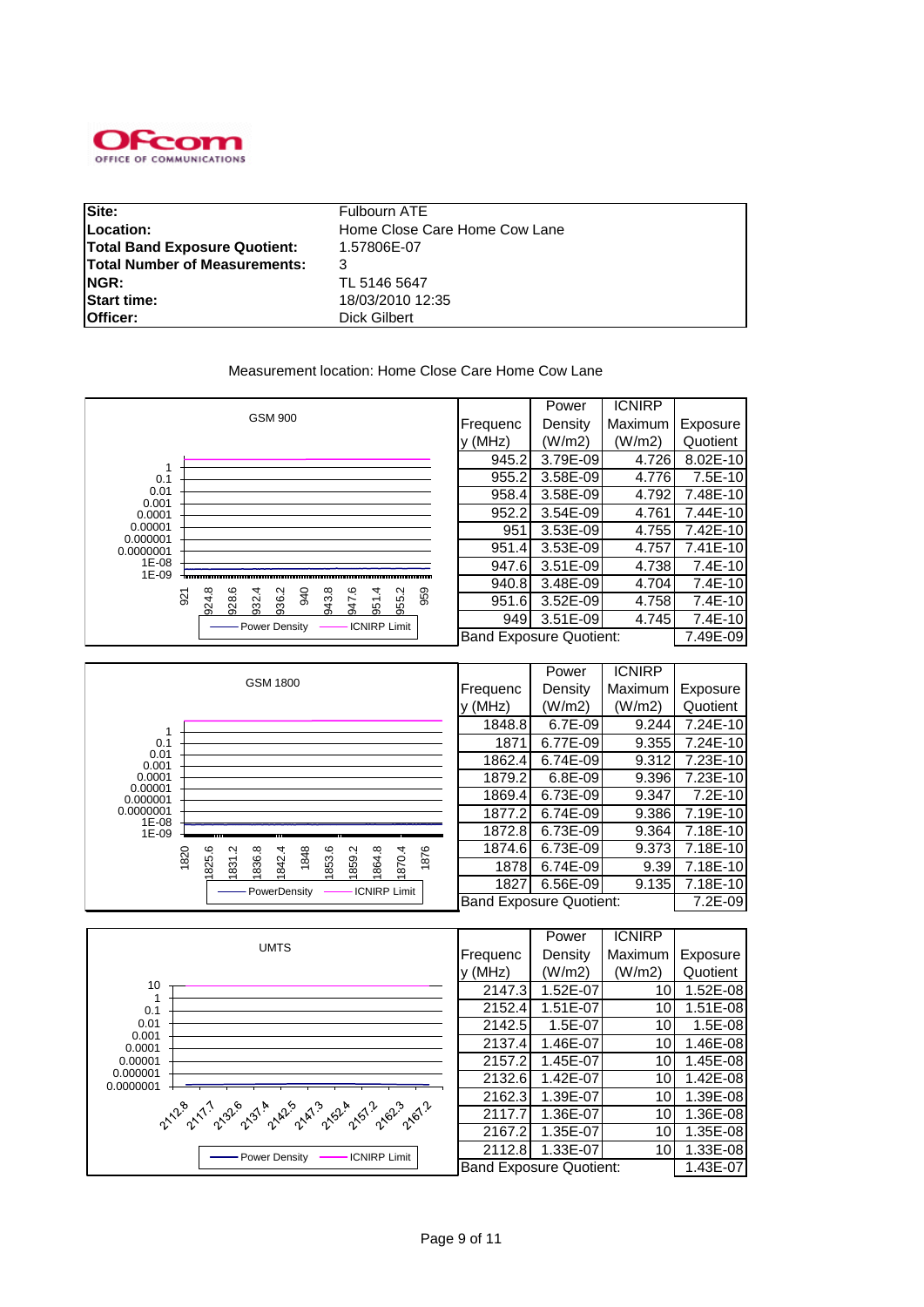

| Site:                                | Fulbourn ATE                  |
|--------------------------------------|-------------------------------|
| Location:                            | Home Close Care Home Cow Lane |
| <b>Total Band Exposure Quotient:</b> | 1.57806E-07                   |
| <b>Total Number of Measurements:</b> |                               |
| <b>NGR:</b>                          | TL 5146 5647                  |
| <b>Start time:</b>                   | 18/03/2010 12:35              |
| Officer:                             | Dick Gilbert                  |

#### Measurement location: Home Close Care Home Cow Lane

|                     |     |       |       |       |                |     |       | Power | <b>ICNIRP</b> |                     |          |                                |          |         |           |
|---------------------|-----|-------|-------|-------|----------------|-----|-------|-------|---------------|---------------------|----------|--------------------------------|----------|---------|-----------|
|                     |     |       |       |       | <b>GSM 900</b> |     |       |       |               |                     |          | Frequenc                       | Density  | Maximum | Exposure  |
|                     |     |       |       |       |                |     |       |       |               |                     |          | $y$ (MHz)                      | (W/m2)   | (W/m2)  | Quotient  |
|                     |     |       |       |       |                |     |       |       |               |                     |          | 945.2                          | 3.79E-09 | 4.726   | 8.02E-10  |
| 0.1                 |     |       |       |       |                |     |       |       |               |                     |          | 955.2                          | 3.58E-09 | 4.776   | 7.5E-10   |
| 0.01<br>0.001       |     |       |       |       |                |     |       |       |               |                     |          | 958.4                          | 3.58E-09 | 4.792   | 7.48E-10  |
| 0.0001              |     |       |       |       |                |     |       |       |               |                     |          | 952.2                          | 3.54E-09 | 4.761   | 7.44E-10  |
| 0.00001<br>0.000001 |     |       |       |       |                |     |       |       |               |                     |          | 951                            | 3.53E-09 | 4.755   | 7.42E-10  |
| 0.0000001           |     |       |       |       |                |     |       |       |               | 951.4               | 3.53E-09 | 4.757                          | 7.41E-10 |         |           |
| 1E-08               |     |       |       |       |                |     |       |       |               |                     |          | 947.6                          | 3.51E-09 | 4.738   | $7.4E-10$ |
| 1E-09               |     |       |       |       |                |     |       | ဖ     | 4             |                     |          | 940.8                          | 3.48E-09 | 4.704   | $7.4E-10$ |
|                     | 921 | 924.8 | 928.6 | 932.4 | 936.2          | 940 | 943.8 | 247   | 951           | 955.2               | 959      | 951.6                          | 3.52E-09 | 4.758   | 7.4E-10   |
|                     |     |       |       |       | Power Density  |     |       |       |               | <b>ICNIRP Limit</b> |          | 949                            | 3.51E-09 | 4.745   | 7.4E-10   |
|                     |     |       |       |       |                |     |       |       |               |                     |          | <b>Band Exposure Quotient:</b> |          |         | 7.49E-09  |

|                     |                                                                                   |          | Power                          | <b>ICNIRP</b> |           |
|---------------------|-----------------------------------------------------------------------------------|----------|--------------------------------|---------------|-----------|
|                     | <b>GSM 1800</b>                                                                   | Frequenc | Density                        | Maximum       | Exposure  |
|                     |                                                                                   | V(MHz)   | (W/m2)                         | (W/m2)        | Quotient  |
|                     |                                                                                   | 1848.8   | 6.7E-09                        | 9.244         | 7.24E-10  |
| 0.1                 |                                                                                   | 1871     | 6.77E-09                       | 9.355         | 7.24E-10  |
| 0.01<br>0.001       |                                                                                   | 1862.4   | 6.74E-09                       | 9.312         | 7.23E-10  |
| 0.0001              |                                                                                   | 1879.2   | $6.8E-09$                      | 9.396         | 7.23E-10  |
| 0.00001<br>0.000001 |                                                                                   | 1869.4   | 6.73E-09                       | 9.347         | $7.2E-10$ |
| 0.0000001<br>1E-08  |                                                                                   | 1877.2   | 6.74E-09                       | 9.386         | 7.19E-10  |
| 1E-09               |                                                                                   | 1872.8   | 6.73E-09                       | 9.364         | 7.18E-10  |
|                     | 1876<br>1848<br>1820<br>Ņ                                                         | 1874.6   | 6.73E-09                       | 9.373         | 7.18E-10  |
|                     | 825.6<br>836.8<br>853.6<br>1859.2<br>1870.4<br>842.4<br>1864.8<br>$\overline{31}$ | 1878     | 6.74E-09                       | 9.39          | 7.18E-10  |
|                     | <b>ICNIRP Limit</b><br>- PowerDensity                                             | 1827     | 6.56E-09                       | 9.135         | 7.18E-10  |
|                     |                                                                                   |          | <b>Band Exposure Quotient:</b> |               | 7.2E-09   |

|                                                                                                               |                                | Power    | <b>ICNIRP</b>   |          |
|---------------------------------------------------------------------------------------------------------------|--------------------------------|----------|-----------------|----------|
| <b>UMTS</b>                                                                                                   | Frequenc                       | Density  | Maximum         | Exposure |
|                                                                                                               | y (MHz)                        | (W/m2)   | (W/m2)          | Quotient |
| 10                                                                                                            | 2147.3                         | 1.52E-07 | 101             | 1.52E-08 |
| 0.1                                                                                                           | 2152.4                         | 1.51E-07 | 10              | 1.51E-08 |
| 0.01<br>0.001                                                                                                 | 2142.5                         | 1.5E-07  | 10 <sub>l</sub> | 1.5E-08  |
| 0.0001                                                                                                        | 2137.4                         | 1.46E-07 | 10 <sup>1</sup> | 1.46E-08 |
| 0.00001                                                                                                       | 2157.2                         | 1.45E-07 | 10              | 1.45E-08 |
| 0.000001<br>0.0000001                                                                                         | 2132.6                         | 1.42E-07 | 10 <sub>1</sub> | 1.42E-08 |
|                                                                                                               | 2162.3                         | 1.39E-07 | 10              | 1.39E-08 |
| 21.28 -17 -1.32 -1.31 -1.42 -1.52 -1.53 -1.53 -1.56 -1.61 -1.56 -1.56 -1.56 -1.56 -1.56 -1.56 -1.56 -1.56 -1. | 2117.7                         | 1.36E-07 | 10              | 1.36E-08 |
|                                                                                                               | 2167.2                         | 1.35E-07 | 10              | 1.35E-08 |
| <b>ICNIRP Limit</b><br>- Power Density                                                                        | 2112.8                         | 1.33E-07 | 10 <sup>1</sup> | 1.33E-08 |
|                                                                                                               | <b>Band Exposure Quotient:</b> |          |                 | 1.43E-07 |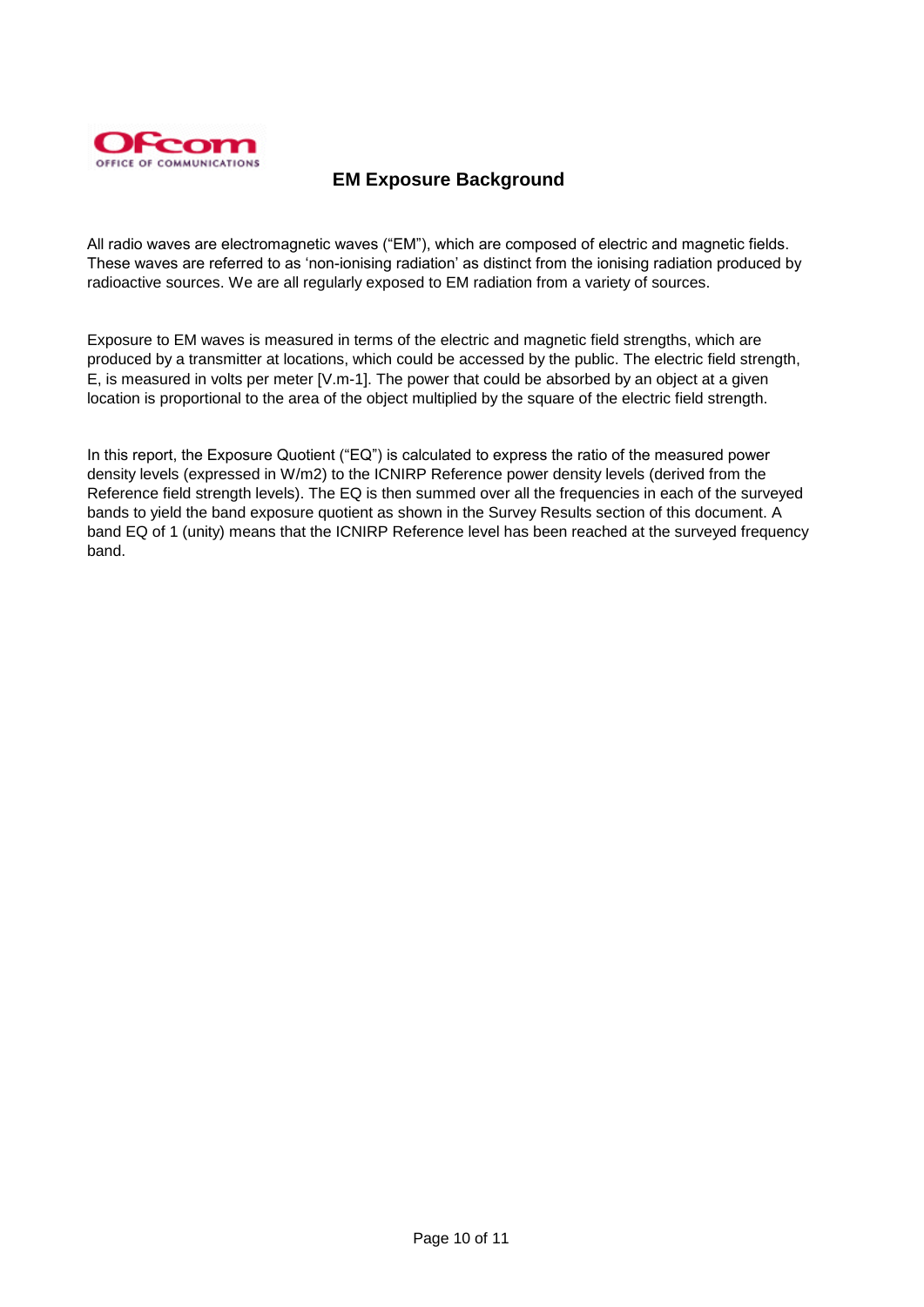

# **EM Exposure Background**

All radio waves are electromagnetic waves ("EM"), which are composed of electric and magnetic fields. These waves are referred to as "non-ionising radiation" as distinct from the ionising radiation produced by radioactive sources. We are all regularly exposed to EM radiation from a variety of sources.

Exposure to EM waves is measured in terms of the electric and magnetic field strengths, which are produced by a transmitter at locations, which could be accessed by the public. The electric field strength, E, is measured in volts per meter [V.m-1]. The power that could be absorbed by an object at a given location is proportional to the area of the object multiplied by the square of the electric field strength.

In this report, the Exposure Quotient ("EQ") is calculated to express the ratio of the measured power density levels (expressed in W/m2) to the ICNIRP Reference power density levels (derived from the Reference field strength levels). The EQ is then summed over all the frequencies in each of the surveyed bands to yield the band exposure quotient as shown in the Survey Results section of this document. A band EQ of 1 (unity) means that the ICNIRP Reference level has been reached at the surveyed frequency band.